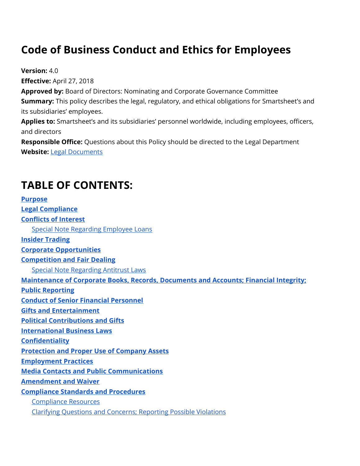# **Code of Business Conduct and Ethics for Employees**

**Version:** 4.0 **Effective:** April 27, 2018 **Approved by:** Board of Directors: Nominating and Corporate Governance Committee **Summary:** This policy describes the legal, regulatory, and ethical obligations for Smartsheet's and its subsidiaries' employees. **Applies to:** Smartsheet's and its subsidiaries' personnel worldwide, including employees, officers, and directors

**Responsible Office:** Questions about this Policy should be directed to the Legal Department **Website:** [Legal Documents](http://www.smartsheet.com/legal)

# **TABLE OF CONTENTS:**

**[Purpose](#page-1-0) [Legal Compliance](#page-2-0) [Conflicts of Interest](#page-2-1)** [Special Note Regarding Employee Loans](#page-4-0) **[Insider Trading](#page-4-1) [Corporate Opportunities](#page-5-0) [Competition and Fair Dealing](#page-5-1)** [Special Note Regarding Antitrust Laws](#page-6-0) **[Maintenance of Corporate Books, Records, Documents and Accounts; Financial Integrity;](#page-6-1)  [Public Reporting](#page-6-1) [Conduct of Senior Financial Personnel](#page-8-0) [Gifts and Entertainment](#page-9-0) [Political Contributions and Gifts](#page-9-1) [International Business Laws](#page-9-2) [Confidentiality](#page-10-0) [Protection and Proper Use of Company](#page-11-0) Assets [Employment Practices](#page-11-1) [Media Contacts and Public Communications](#page-12-0) [Amendment and Waiver](#page-12-1) [Compliance Standards and Procedures](#page-12-2)** [Compliance Resources](#page-12-3) [Clarifying Questions and Concerns; Reporting Possible Violations](#page-13-0)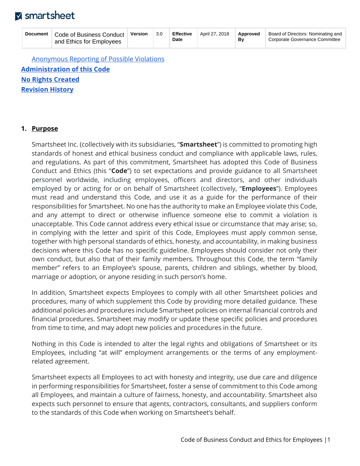| <b>Document</b> | Code of Business Conduct<br>and Ethics for Employees | Version | 3.0 | <b>Effective</b><br><b>Date</b> | April 27, 2018 | Approved<br>Bv | Board of Directors: Nominating and<br>Corporate Governance Committee |
|-----------------|------------------------------------------------------|---------|-----|---------------------------------|----------------|----------------|----------------------------------------------------------------------|
|                 |                                                      |         |     |                                 |                |                |                                                                      |

[Anonymous Reporting of Possible Violations](#page-13-1) **[Administration of this Code](#page-14-0) [No Rights Created](#page-14-1) [Revision History](#page-14-2)**

#### <span id="page-1-0"></span>**1. Purpose**

Smartsheet Inc. (collectively with its subsidiaries, "**Smartsheet**") is committed to promoting high standards of honest and ethical business conduct and compliance with applicable laws, rules, and regulations. As part of this commitment, Smartsheet has adopted this Code of Business Conduct and Ethics (this "**Code**") to set expectations and provide guidance to all Smartsheet personnel worldwide, including employees, officers and directors, and other individuals employed by or acting for or on behalf of Smartsheet (collectively, "**Employees**"). Employees must read and understand this Code, and use it as a guide for the performance of their responsibilities for Smartsheet. No one has the authority to make an Employee violate this Code, and any attempt to direct or otherwise influence someone else to commit a violation is unacceptable. This Code cannot address every ethical issue or circumstance that may arise; so, in complying with the letter and spirit of this Code, Employees must apply common sense, together with high personal standards of ethics, honesty, and accountability, in making business decisions where this Code has no specific guideline. Employees should consider not only their own conduct, but also that of their family members. Throughout this Code, the term "family member" refers to an Employee's spouse, parents, children and siblings, whether by blood, marriage or adoption, or anyone residing in such person's home.

In addition, Smartsheet expects Employees to comply with all other Smartsheet policies and procedures, many of which supplement this Code by providing more detailed guidance. These additional policies and procedures include Smartsheet policies on internal financial controls and financial procedures. Smartsheet may modify or update these specific policies and procedures from time to time, and may adopt new policies and procedures in the future.

Nothing in this Code is intended to alter the legal rights and obligations of Smartsheet or its Employees, including "at will" employment arrangements or the terms of any employmentrelated agreement.

Smartsheet expects all Employees to act with honesty and integrity, use due care and diligence in performing responsibilities for Smartsheet, foster a sense of commitment to this Code among all Employees, and maintain a culture of fairness, honesty, and accountability. Smartsheet also expects such personnel to ensure that agents, contractors, consultants, and suppliers conform to the standards of this Code when working on Smartsheet's behalf.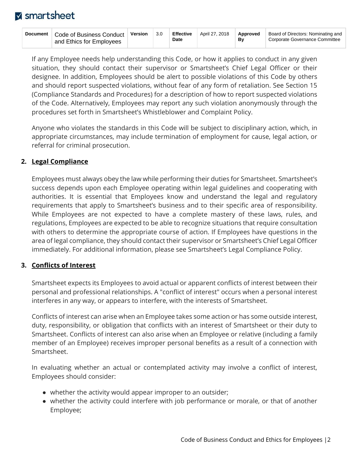If any Employee needs help understanding this Code, or how it applies to conduct in any given situation, they should contact their supervisor or Smartsheet's Chief Legal Officer or their designee. In addition, Employees should be alert to possible violations of this Code by others and should report suspected violations, without fear of any form of retaliation. See Section 15 (Compliance Standards and Procedures) for a description of how to report suspected violations of the Code. Alternatively, Employees may report any such violation anonymously through the procedures set forth in Smartsheet's Whistleblower and Complaint Policy.

Anyone who violates the standards in this Code will be subject to disciplinary action, which, in appropriate circumstances, may include termination of employment for cause, legal action, or referral for criminal prosecution.

### <span id="page-2-0"></span>**2. Legal Compliance**

Employees must always obey the law while performing their duties for Smartsheet. Smartsheet's success depends upon each Employee operating within legal guidelines and cooperating with authorities. It is essential that Employees know and understand the legal and regulatory requirements that apply to Smartsheet's business and to their specific area of responsibility. While Employees are not expected to have a complete mastery of these laws, rules, and regulations, Employees are expected to be able to recognize situations that require consultation with others to determine the appropriate course of action. If Employees have questions in the area of legal compliance, they should contact their supervisor or Smartsheet's Chief Legal Officer immediately. For additional information, please see Smartsheet's Legal Compliance Policy.

### <span id="page-2-1"></span>**3. Conflicts of Interest**

Smartsheet expects its Employees to avoid actual or apparent conflicts of interest between their personal and professional relationships. A "conflict of interest" occurs when a personal interest interferes in any way, or appears to interfere, with the interests of Smartsheet.

Conflicts of interest can arise when an Employee takes some action or has some outside interest, duty, responsibility, or obligation that conflicts with an interest of Smartsheet or their duty to Smartsheet. Conflicts of interest can also arise when an Employee or relative (including a family member of an Employee) receives improper personal benefits as a result of a connection with Smartsheet.

In evaluating whether an actual or contemplated activity may involve a conflict of interest, Employees should consider:

- whether the activity would appear improper to an outsider;
- whether the activity could interfere with job performance or morale, or that of another Employee;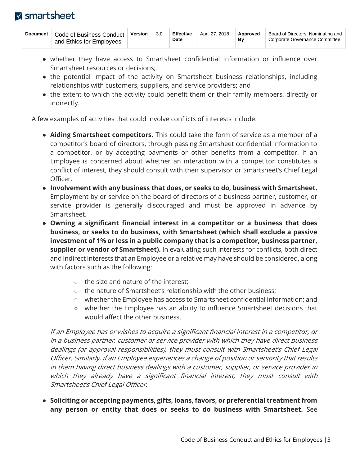| Document | Code of Business Conduct<br>and Ethics for Employees | Version | 3.0 | <b>Effective</b><br>Date | April 27, 2018 | Approved<br>Βv | Board of Directors: Nominating and<br>Corporate Governance Committee |
|----------|------------------------------------------------------|---------|-----|--------------------------|----------------|----------------|----------------------------------------------------------------------|
|----------|------------------------------------------------------|---------|-----|--------------------------|----------------|----------------|----------------------------------------------------------------------|

- whether they have access to Smartsheet confidential information or influence over Smartsheet resources or decisions;
- the potential impact of the activity on Smartsheet business relationships, including relationships with customers, suppliers, and service providers; and
- the extent to which the activity could benefit them or their family members, directly or indirectly.

A few examples of activities that could involve conflicts of interests include:

- **Aiding Smartsheet competitors.** This could take the form of service as a member of a competitor's board of directors, through passing Smartsheet confidential information to a competitor, or by accepting payments or other benefits from a competitor. If an Employee is concerned about whether an interaction with a competitor constitutes a conflict of interest, they should consult with their supervisor or Smartsheet's Chief Legal Officer.
- **Involvement with any business that does, or seeks to do, business with Smartsheet.** Employment by or service on the board of directors of a business partner, customer, or service provider is generally discouraged and must be approved in advance by Smartsheet.
- **Owning a significant financial interest in a competitor or a business that does business, or seeks to do business, with Smartsheet (which shall exclude a passive investment of 1% or less in a public company that is a competitor, business partner, supplier or vendor of Smartsheet).** In evaluating such interests for conflicts, both direct and indirect interests that an Employee or a relative may have should be considered, along with factors such as the following:
	- the size and nature of the interest;
	- the nature of Smartsheet's relationship with the other business;
	- whether the Employee has access to Smartsheet confidential information; and
	- whether the Employee has an ability to influence Smartsheet decisions that would affect the other business.

If an Employee has or wishes to acquire a significant financial interest in a competitor, or in a business partner, customer or service provider with which they have direct business dealings (or approval responsibilities), they must consult with Smartsheet's Chief Legal Officer. Similarly, if an Employee experiences a change of position or seniority that results in them having direct business dealings with a customer, supplier, or service provider in which they already have a significant financial interest, they must consult with Smartsheet's Chief Legal Officer.

● **Soliciting or accepting payments, gifts, loans, favors, or preferential treatment from any person or entity that does or seeks to do business with Smartsheet.** See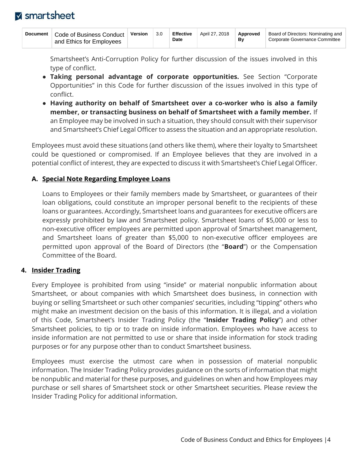| Document | Code of Business Conduct<br>and Ethics for Employees | Version | 3.0 | <b>Effective</b><br>Date | April 27, 2018 | Approved<br>Bv | Board of Directors: Nominating and<br>Corporate Governance Committee |
|----------|------------------------------------------------------|---------|-----|--------------------------|----------------|----------------|----------------------------------------------------------------------|
|----------|------------------------------------------------------|---------|-----|--------------------------|----------------|----------------|----------------------------------------------------------------------|

Smartsheet's Anti-Corruption Policy for further discussion of the issues involved in this type of conflict.

- **Taking personal advantage of corporate opportunities.** See Section "Corporate Opportunities" in this Code for further discussion of the issues involved in this type of conflict.
- **Having authority on behalf of Smartsheet over a co-worker who is also a family member, or transacting business on behalf of Smartsheet with a family member.** If an Employee may be involved in such a situation, they should consult with their supervisor and Smartsheet's Chief Legal Officer to assess the situation and an appropriate resolution.

Employees must avoid these situations (and others like them), where their loyalty to Smartsheet could be questioned or compromised. If an Employee believes that they are involved in a potential conflict of interest, they are expected to discuss it with Smartsheet's Chief Legal Officer.

### <span id="page-4-0"></span>**A. Special Note Regarding Employee Loans**

Loans to Employees or their family members made by Smartsheet, or guarantees of their loan obligations, could constitute an improper personal benefit to the recipients of these loans or guarantees. Accordingly, Smartsheet loans and guarantees for executive officers are expressly prohibited by law and Smartsheet policy. Smartsheet loans of \$5,000 or less to non-executive officer employees are permitted upon approval of Smartsheet management, and Smartsheet loans of greater than \$5,000 to non-executive officer employees are permitted upon approval of the Board of Directors (the "**Board**") or the Compensation Committee of the Board.

#### <span id="page-4-1"></span>**4. Insider Trading**

Every Employee is prohibited from using "inside" or material nonpublic information about Smartsheet, or about companies with which Smartsheet does business, in connection with buying or selling Smartsheet or such other companies' securities, including "tipping" others who might make an investment decision on the basis of this information. It is illegal, and a violation of this Code, Smartsheet's Insider Trading Policy (the "**Insider Trading Policy**") and other Smartsheet policies, to tip or to trade on inside information. Employees who have access to inside information are not permitted to use or share that inside information for stock trading purposes or for any purpose other than to conduct Smartsheet business.

Employees must exercise the utmost care when in possession of material nonpublic information. The Insider Trading Policy provides guidance on the sorts of information that might be nonpublic and material for these purposes, and guidelines on when and how Employees may purchase or sell shares of Smartsheet stock or other Smartsheet securities. Please review the Insider Trading Policy for additional information.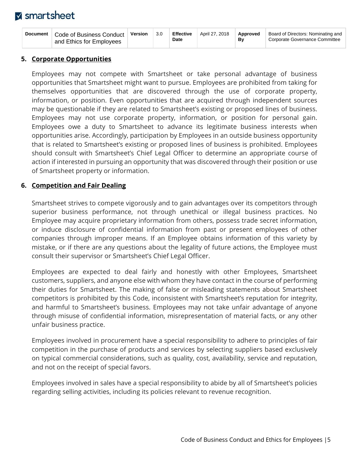| Document | Code of Business Conduct<br>and Ethics for Emplovees | Version | 3.0 | <b>Effective</b><br><b>Date</b> | April 27, 2018 | Approved<br>Bv | Board of Directors: Nominating and<br>Corporate Governance Committee |
|----------|------------------------------------------------------|---------|-----|---------------------------------|----------------|----------------|----------------------------------------------------------------------|
|----------|------------------------------------------------------|---------|-----|---------------------------------|----------------|----------------|----------------------------------------------------------------------|

#### <span id="page-5-0"></span>**5. Corporate Opportunities**

Employees may not compete with Smartsheet or take personal advantage of business opportunities that Smartsheet might want to pursue. Employees are prohibited from taking for themselves opportunities that are discovered through the use of corporate property, information, or position. Even opportunities that are acquired through independent sources may be questionable if they are related to Smartsheet's existing or proposed lines of business. Employees may not use corporate property, information, or position for personal gain. Employees owe a duty to Smartsheet to advance its legitimate business interests when opportunities arise. Accordingly, participation by Employees in an outside business opportunity that is related to Smartsheet's existing or proposed lines of business is prohibited. Employees should consult with Smartsheet's Chief Legal Officer to determine an appropriate course of action if interested in pursuing an opportunity that was discovered through their position or use of Smartsheet property or information.

#### <span id="page-5-1"></span>**6. Competition and Fair Dealing**

Smartsheet strives to compete vigorously and to gain advantages over its competitors through superior business performance, not through unethical or illegal business practices. No Employee may acquire proprietary information from others, possess trade secret information, or induce disclosure of confidential information from past or present employees of other companies through improper means. If an Employee obtains information of this variety by mistake, or if there are any questions about the legality of future actions, the Employee must consult their supervisor or Smartsheet's Chief Legal Officer.

Employees are expected to deal fairly and honestly with other Employees, Smartsheet customers, suppliers, and anyone else with whom they have contact in the course of performing their duties for Smartsheet. The making of false or misleading statements about Smartsheet competitors is prohibited by this Code, inconsistent with Smartsheet's reputation for integrity, and harmful to Smartsheet's business. Employees may not take unfair advantage of anyone through misuse of confidential information, misrepresentation of material facts, or any other unfair business practice.

Employees involved in procurement have a special responsibility to adhere to principles of fair competition in the purchase of products and services by selecting suppliers based exclusively on typical commercial considerations, such as quality, cost, availability, service and reputation, and not on the receipt of special favors.

Employees involved in sales have a special responsibility to abide by all of Smartsheet's policies regarding selling activities, including its policies relevant to revenue recognition.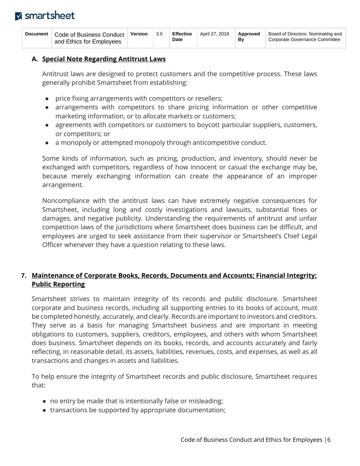| Document | Code of Business Conduct<br>and Ethics for Employees | <b>Version</b> | 3.0 | <b>Effective</b><br>Date | April 27, 2018 | Approved<br>Bv | Board of Directors: Nominating and<br>Corporate Governance Committee |
|----------|------------------------------------------------------|----------------|-----|--------------------------|----------------|----------------|----------------------------------------------------------------------|
|----------|------------------------------------------------------|----------------|-----|--------------------------|----------------|----------------|----------------------------------------------------------------------|

#### <span id="page-6-0"></span>**A. Special Note Regarding Antitrust Laws**

Antitrust laws are designed to protect customers and the competitive process. These laws generally prohibit Smartsheet from establishing:

- price fixing arrangements with competitors or resellers;
- arrangements with competitors to share pricing information or other competitive marketing information, or to allocate markets or customers;
- agreements with competitors or customers to boycott particular suppliers, customers, or competitors; or
- a monopoly or attempted monopoly through anticompetitive conduct.

Some kinds of information, such as pricing, production, and inventory, should never be exchanged with competitors, regardless of how innocent or casual the exchange may be, because merely exchanging information can create the appearance of an improper arrangement.

Noncompliance with the antitrust laws can have extremely negative consequences for Smartsheet, including long and costly investigations and lawsuits, substantial fines or damages, and negative publicity. Understanding the requirements of antitrust and unfair competition laws of the jurisdictions where Smartsheet does business can be difficult, and employees are urged to seek assistance from their supervisor or Smartsheet's Chief Legal Officer whenever they have a question relating to these laws.

### <span id="page-6-1"></span>**7. Maintenance of Corporate Books, Records, Documents and Accounts; Financial Integrity; Public Reporting**

Smartsheet strives to maintain integrity of its records and public disclosure. Smartsheet corporate and business records, including all supporting entries to its books of account, must be completed honestly, accurately, and clearly. Records are important to investors and creditors. They serve as a basis for managing Smartsheet business and are important in meeting obligations to customers, suppliers, creditors, employees, and others with whom Smartsheet does business. Smartsheet depends on its books, records, and accounts accurately and fairly reflecting, in reasonable detail, its assets, liabilities, revenues, costs, and expenses, as well as all transactions and changes in assets and liabilities.

To help ensure the integrity of Smartsheet records and public disclosure, Smartsheet requires that:

- no entry be made that is intentionally false or misleading;
- transactions be supported by appropriate documentation;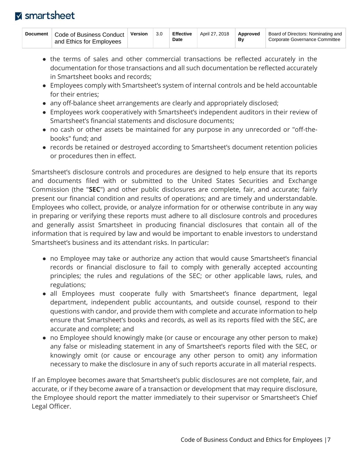| Document | Code of Business Conduct<br>and Ethics for Employees | Version | 3.0 | <b>Effective</b><br>Date | April 27, 2018 | Approved<br>Bv | Board of Directors: Nominating and<br>Corporate Governance Committee |
|----------|------------------------------------------------------|---------|-----|--------------------------|----------------|----------------|----------------------------------------------------------------------|
|----------|------------------------------------------------------|---------|-----|--------------------------|----------------|----------------|----------------------------------------------------------------------|

- the terms of sales and other commercial transactions be reflected accurately in the documentation for those transactions and all such documentation be reflected accurately in Smartsheet books and records;
- Employees comply with Smartsheet's system of internal controls and be held accountable for their entries;
- any off-balance sheet arrangements are clearly and appropriately disclosed;
- Employees work cooperatively with Smartsheet's independent auditors in their review of Smartsheet's financial statements and disclosure documents;
- no cash or other assets be maintained for any purpose in any unrecorded or "off-thebooks" fund; and
- records be retained or destroyed according to Smartsheet's document retention policies or procedures then in effect.

Smartsheet's disclosure controls and procedures are designed to help ensure that its reports and documents filed with or submitted to the United States Securities and Exchange Commission (the "**SEC**") and other public disclosures are complete, fair, and accurate; fairly present our financial condition and results of operations; and are timely and understandable. Employees who collect, provide, or analyze information for or otherwise contribute in any way in preparing or verifying these reports must adhere to all disclosure controls and procedures and generally assist Smartsheet in producing financial disclosures that contain all of the information that is required by law and would be important to enable investors to understand Smartsheet's business and its attendant risks. In particular:

- no Employee may take or authorize any action that would cause Smartsheet's financial records or financial disclosure to fail to comply with generally accepted accounting principles; the rules and regulations of the SEC; or other applicable laws, rules, and regulations;
- all Employees must cooperate fully with Smartsheet's finance department, legal department, independent public accountants, and outside counsel, respond to their questions with candor, and provide them with complete and accurate information to help ensure that Smartsheet's books and records, as well as its reports filed with the SEC, are accurate and complete; and
- no Employee should knowingly make (or cause or encourage any other person to make) any false or misleading statement in any of Smartsheet's reports filed with the SEC, or knowingly omit (or cause or encourage any other person to omit) any information necessary to make the disclosure in any of such reports accurate in all material respects.

If an Employee becomes aware that Smartsheet's public disclosures are not complete, fair, and accurate, or if they become aware of a transaction or development that may require disclosure, the Employee should report the matter immediately to their supervisor or Smartsheet's Chief Legal Officer.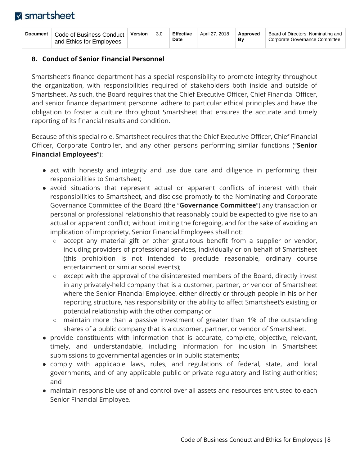| Document | Code of Business Conduct<br>and Ethics for Employees | Version | 3.0 | <b>Effective</b><br><b>Date</b> | April 27, 2018 | Approved<br>Βv | Board of Directors: Nominating and<br>Corporate Governance Committee |
|----------|------------------------------------------------------|---------|-----|---------------------------------|----------------|----------------|----------------------------------------------------------------------|
|----------|------------------------------------------------------|---------|-----|---------------------------------|----------------|----------------|----------------------------------------------------------------------|

### <span id="page-8-0"></span>**8. Conduct of Senior Financial Personnel**

Smartsheet's finance department has a special responsibility to promote integrity throughout the organization, with responsibilities required of stakeholders both inside and outside of Smartsheet. As such, the Board requires that the Chief Executive Officer, Chief Financial Officer, and senior finance department personnel adhere to particular ethical principles and have the obligation to foster a culture throughout Smartsheet that ensures the accurate and timely reporting of its financial results and condition.

Because of this special role, Smartsheet requires that the Chief Executive Officer, Chief Financial Officer, Corporate Controller, and any other persons performing similar functions ("**Senior Financial Employees**"):

- act with honesty and integrity and use due care and diligence in performing their responsibilities to Smartsheet;
- avoid situations that represent actual or apparent conflicts of interest with their responsibilities to Smartsheet, and disclose promptly to the Nominating and Corporate Governance Committee of the Board (the "**Governance Committee**") any transaction or personal or professional relationship that reasonably could be expected to give rise to an actual or apparent conflict; without limiting the foregoing, and for the sake of avoiding an implication of impropriety, Senior Financial Employees shall not:
	- accept any material gift or other gratuitous benefit from a supplier or vendor, including providers of professional services, individually or on behalf of Smartsheet (this prohibition is not intended to preclude reasonable, ordinary course entertainment or similar social events);
	- except with the approval of the disinterested members of the Board, directly invest in any privately-held company that is a customer, partner, or vendor of Smartsheet where the Senior Financial Employee, either directly or through people in his or her reporting structure, has responsibility or the ability to affect Smartsheet's existing or potential relationship with the other company; or
	- maintain more than a passive investment of greater than 1% of the outstanding shares of a public company that is a customer, partner, or vendor of Smartsheet.
- provide constituents with information that is accurate, complete, objective, relevant, timely, and understandable, including information for inclusion in Smartsheet submissions to governmental agencies or in public statements;
- comply with applicable laws, rules, and regulations of federal, state, and local governments, and of any applicable public or private regulatory and listing authorities; and
- maintain responsible use of and control over all assets and resources entrusted to each Senior Financial Employee.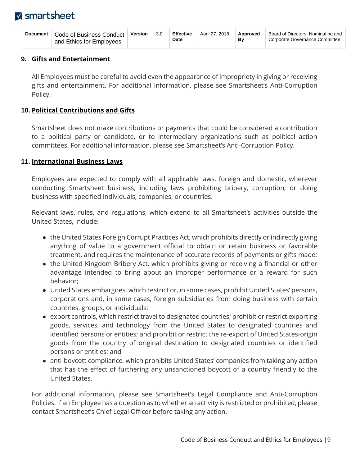| Document | Code of Business Conduct<br>and Ethics for Employees | Version | 3.0 | <b>Effective</b><br>Date | April 27, 2018 | Approved<br>Bv | Board of Directors: Nominating and<br>Corporate Governance Committee |
|----------|------------------------------------------------------|---------|-----|--------------------------|----------------|----------------|----------------------------------------------------------------------|
|----------|------------------------------------------------------|---------|-----|--------------------------|----------------|----------------|----------------------------------------------------------------------|

#### <span id="page-9-0"></span>**9. Gifts and Entertainment**

All Employees must be careful to avoid even the appearance of impropriety in giving or receiving gifts and entertainment. For additional information, please see Smartsheet's Anti-Corruption Policy.

### <span id="page-9-1"></span>**10. Political Contributions and Gifts**

Smartsheet does not make contributions or payments that could be considered a contribution to a political party or candidate, or to intermediary organizations such as political action committees. For additional information, please see Smartsheet's Anti-Corruption Policy.

#### <span id="page-9-2"></span>**11. International Business Laws**

Employees are expected to comply with all applicable laws, foreign and domestic, wherever conducting Smartsheet business, including laws prohibiting bribery, corruption, or doing business with specified individuals, companies, or countries.

Relevant laws, rules, and regulations, which extend to all Smartsheet's activities outside the United States, include:

- the United States Foreign Corrupt Practices Act, which prohibits directly or indirectly giving anything of value to a government official to obtain or retain business or favorable treatment, and requires the maintenance of accurate records of payments or gifts made;
- the United Kingdom Bribery Act, which prohibits giving or receiving a financial or other advantage intended to bring about an improper performance or a reward for such behavior;
- United States embargoes, which restrict or, in some cases, prohibit United States' persons, corporations and, in some cases, foreign subsidiaries from doing business with certain countries, groups, or individuals;
- export controls, which restrict travel to designated countries; prohibit or restrict exporting goods, services, and technology from the United States to designated countries and identified persons or entities; and prohibit or restrict the re-export of United States-origin goods from the country of original destination to designated countries or identified persons or entities; and
- anti-boycott compliance, which prohibits United States' companies from taking any action that has the effect of furthering any unsanctioned boycott of a country friendly to the United States.

For additional information, please see Smartsheet's Legal Compliance and Anti-Corruption Policies. If an Employee has a question as to whether an activity is restricted or prohibited, please contact Smartsheet's Chief Legal Officer before taking any action.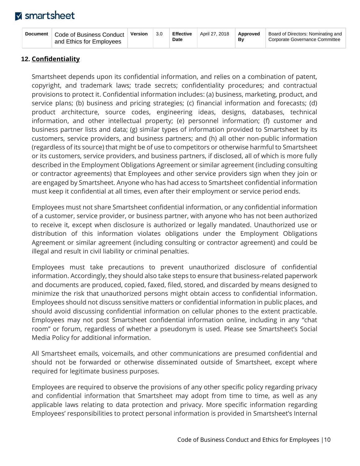| Document | Code of Business Conduct<br>and Ethics for Employees | <b>Version</b> | 3.0 | <b>Effective</b><br>Date | April 27, 2018 | Approved<br>Bv | Board of Directors: Nominating and<br>Corporate Governance Committee |
|----------|------------------------------------------------------|----------------|-----|--------------------------|----------------|----------------|----------------------------------------------------------------------|
|----------|------------------------------------------------------|----------------|-----|--------------------------|----------------|----------------|----------------------------------------------------------------------|

### <span id="page-10-0"></span>**12. Confidentiality**

Smartsheet depends upon its confidential information, and relies on a combination of patent, copyright, and trademark laws; trade secrets; confidentiality procedures; and contractual provisions to protect it. Confidential information includes: (a) business, marketing, product, and service plans; (b) business and pricing strategies; (c) financial information and forecasts; (d) product architecture, source codes, engineering ideas, designs, databases, technical information, and other intellectual property; (e) personnel information; (f) customer and business partner lists and data; (g) similar types of information provided to Smartsheet by its customers, service providers, and business partners; and (h) all other non-public information (regardless of its source) that might be of use to competitors or otherwise harmful to Smartsheet or its customers, service providers, and business partners, if disclosed, all of which is more fully described in the Employment Obligations Agreement or similar agreement (including consulting or contractor agreements) that Employees and other service providers sign when they join or are engaged by Smartsheet. Anyone who has had access to Smartsheet confidential information must keep it confidential at all times, even after their employment or service period ends.

Employees must not share Smartsheet confidential information, or any confidential information of a customer, service provider, or business partner, with anyone who has not been authorized to receive it, except when disclosure is authorized or legally mandated. Unauthorized use or distribution of this information violates obligations under the Employment Obligations Agreement or similar agreement (including consulting or contractor agreement) and could be illegal and result in civil liability or criminal penalties.

Employees must take precautions to prevent unauthorized disclosure of confidential information. Accordingly, they should also take steps to ensure that business-related paperwork and documents are produced, copied, faxed, filed, stored, and discarded by means designed to minimize the risk that unauthorized persons might obtain access to confidential information. Employees should not discuss sensitive matters or confidential information in public places, and should avoid discussing confidential information on cellular phones to the extent practicable. Employees may not post Smartsheet confidential information online, including in any "chat room" or forum, regardless of whether a pseudonym is used. Please see Smartsheet's Social Media Policy for additional information.

All Smartsheet emails, voicemails, and other communications are presumed confidential and should not be forwarded or otherwise disseminated outside of Smartsheet, except where required for legitimate business purposes.

Employees are required to observe the provisions of any other specific policy regarding privacy and confidential information that Smartsheet may adopt from time to time, as well as any applicable laws relating to data protection and privacy. More specific information regarding Employees' responsibilities to protect personal information is provided in Smartsheet's Internal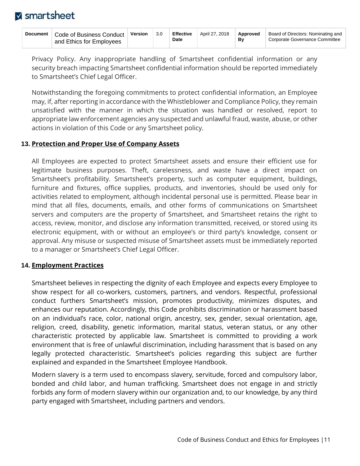| Document | Code of Business Conduct<br>and Ethics for Employees | Version | 3.0 | <b>Effective</b><br><b>Date</b> | April 27, 2018 | Approved<br>Bv | Board of Directors: Nominating and<br>Corporate Governance Committee |
|----------|------------------------------------------------------|---------|-----|---------------------------------|----------------|----------------|----------------------------------------------------------------------|
|----------|------------------------------------------------------|---------|-----|---------------------------------|----------------|----------------|----------------------------------------------------------------------|

Privacy Policy. Any inappropriate handling of Smartsheet confidential information or any security breach impacting Smartsheet confidential information should be reported immediately to Smartsheet's Chief Legal Officer.

Notwithstanding the foregoing commitments to protect confidential information, an Employee may, if, after reporting in accordance with the Whistleblower and Compliance Policy, they remain unsatisfied with the manner in which the situation was handled or resolved, report to appropriate law enforcement agencies any suspected and unlawful fraud, waste, abuse, or other actions in violation of this Code or any Smartsheet policy.

#### <span id="page-11-0"></span>**13. Protection and Proper Use of Company Assets**

All Employees are expected to protect Smartsheet assets and ensure their efficient use for legitimate business purposes. Theft, carelessness, and waste have a direct impact on Smartsheet's profitability. Smartsheet's property, such as computer equipment, buildings, furniture and fixtures, office supplies, products, and inventories, should be used only for activities related to employment, although incidental personal use is permitted. Please bear in mind that all files, documents, emails, and other forms of communications on Smartsheet servers and computers are the property of Smartsheet, and Smartsheet retains the right to access, review, monitor, and disclose any information transmitted, received, or stored using its electronic equipment, with or without an employee's or third party's knowledge, consent or approval. Any misuse or suspected misuse of Smartsheet assets must be immediately reported to a manager or Smartsheet's Chief Legal Officer.

### <span id="page-11-1"></span>**14. Employment Practices**

Smartsheet believes in respecting the dignity of each Employee and expects every Employee to show respect for all co-workers, customers, partners, and vendors. Respectful, professional conduct furthers Smartsheet's mission, promotes productivity, minimizes disputes, and enhances our reputation. Accordingly, this Code prohibits discrimination or harassment based on an individual's race, color, national origin, ancestry, sex, gender, sexual orientation, age, religion, creed, disability, genetic information, marital status, veteran status, or any other characteristic protected by applicable law. Smartsheet is committed to providing a work environment that is free of unlawful discrimination, including harassment that is based on any legally protected characteristic. Smartsheet's policies regarding this subject are further explained and expanded in the Smartsheet Employee Handbook.

Modern slavery is a term used to encompass slavery, servitude, forced and compulsory labor, bonded and child labor, and human trafficking. Smartsheet does not engage in and strictly forbids any form of modern slavery within our organization and, to our knowledge, by any third party engaged with Smartsheet, including partners and vendors.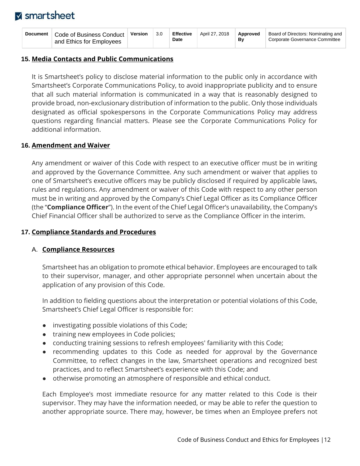| Document | Code of Business Conduct<br>and Ethics for Employees | Version | 3.0 | <b>Effective</b><br><b>Date</b> | April 27, 2018 | Approved<br>Βv | Board of Directors: Nominating and<br>Corporate Governance Committee |
|----------|------------------------------------------------------|---------|-----|---------------------------------|----------------|----------------|----------------------------------------------------------------------|
|----------|------------------------------------------------------|---------|-----|---------------------------------|----------------|----------------|----------------------------------------------------------------------|

#### <span id="page-12-0"></span>**15. Media Contacts and Public Communications**

It is Smartsheet's policy to disclose material information to the public only in accordance with Smartsheet's Corporate Communications Policy, to avoid inappropriate publicity and to ensure that all such material information is communicated in a way that is reasonably designed to provide broad, non-exclusionary distribution of information to the public. Only those individuals designated as official spokespersons in the Corporate Communications Policy may address questions regarding financial matters. Please see the Corporate Communications Policy for additional information.

#### <span id="page-12-1"></span>**16. Amendment and Waiver**

Any amendment or waiver of this Code with respect to an executive officer must be in writing and approved by the Governance Committee. Any such amendment or waiver that applies to one of Smartsheet's executive officers may be publicly disclosed if required by applicable laws, rules and regulations. Any amendment or waiver of this Code with respect to any other person must be in writing and approved by the Company's Chief Legal Officer as its Compliance Officer (the "**Compliance Officer**"). In the event of the Chief Legal Officer's unavailability, the Company's Chief Financial Officer shall be authorized to serve as the Compliance Officer in the interim.

### <span id="page-12-2"></span>**17. Compliance Standards and Procedures**

#### <span id="page-12-3"></span>A. **Compliance Resources**

Smartsheet has an obligation to promote ethical behavior. Employees are encouraged to talk to their supervisor, manager, and other appropriate personnel when uncertain about the application of any provision of this Code.

In addition to fielding questions about the interpretation or potential violations of this Code, Smartsheet's Chief Legal Officer is responsible for:

- investigating possible violations of this Code;
- training new employees in Code policies;
- conducting training sessions to refresh employees' familiarity with this Code;
- recommending updates to this Code as needed for approval by the Governance Committee, to reflect changes in the law, Smartsheet operations and recognized best practices, and to reflect Smartsheet's experience with this Code; and
- otherwise promoting an atmosphere of responsible and ethical conduct.

Each Employee's most immediate resource for any matter related to this Code is their supervisor. They may have the information needed, or may be able to refer the question to another appropriate source. There may, however, be times when an Employee prefers not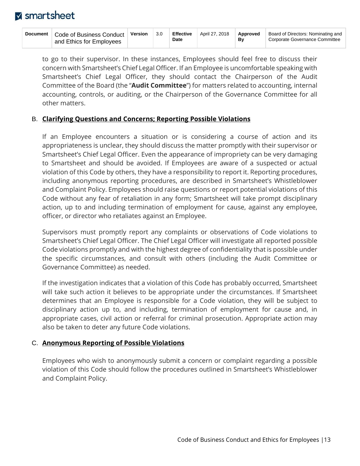| <b>Document</b> | Code of Business Conduct<br>and Ethics for Employees | Version | 3.0 | <b>Effective</b><br>Date | April 27, 2018 | Approved<br>Bv | Board of Directors: Nominating and<br>Corporate Governance Committee |
|-----------------|------------------------------------------------------|---------|-----|--------------------------|----------------|----------------|----------------------------------------------------------------------|
|-----------------|------------------------------------------------------|---------|-----|--------------------------|----------------|----------------|----------------------------------------------------------------------|

to go to their supervisor. In these instances, Employees should feel free to discuss their concern with Smartsheet's Chief Legal Officer. If an Employee is uncomfortable speaking with Smartsheet's Chief Legal Officer, they should contact the Chairperson of the Audit Committee of the Board (the "**Audit Committee**") for matters related to accounting, internal accounting, controls, or auditing, or the Chairperson of the Governance Committee for all other matters.

#### <span id="page-13-0"></span>B. **Clarifying Questions and Concerns; Reporting Possible Violations**

If an Employee encounters a situation or is considering a course of action and its appropriateness is unclear, they should discuss the matter promptly with their supervisor or Smartsheet's Chief Legal Officer. Even the appearance of impropriety can be very damaging to Smartsheet and should be avoided. If Employees are aware of a suspected or actual violation of this Code by others, they have a responsibility to report it. Reporting procedures, including anonymous reporting procedures, are described in Smartsheet's Whistleblower and Complaint Policy. Employees should raise questions or report potential violations of this Code without any fear of retaliation in any form; Smartsheet will take prompt disciplinary action, up to and including termination of employment for cause, against any employee, officer, or director who retaliates against an Employee.

Supervisors must promptly report any complaints or observations of Code violations to Smartsheet's Chief Legal Officer. The Chief Legal Officer will investigate all reported possible Code violations promptly and with the highest degree of confidentiality that is possible under the specific circumstances, and consult with others (including the Audit Committee or Governance Committee) as needed.

If the investigation indicates that a violation of this Code has probably occurred, Smartsheet will take such action it believes to be appropriate under the circumstances. If Smartsheet determines that an Employee is responsible for a Code violation, they will be subject to disciplinary action up to, and including, termination of employment for cause and, in appropriate cases, civil action or referral for criminal prosecution. Appropriate action may also be taken to deter any future Code violations.

### <span id="page-13-1"></span>C. **Anonymous Reporting of Possible Violations**

Employees who wish to anonymously submit a concern or complaint regarding a possible violation of this Code should follow the procedures outlined in Smartsheet's Whistleblower and Complaint Policy.